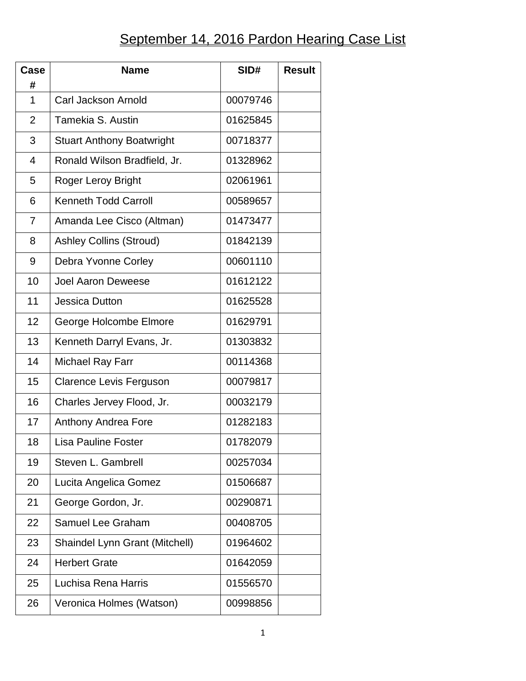## September 14, 2016 Pardon Hearing Case List

| Case           | <b>Name</b>                           | SID#     | <b>Result</b> |
|----------------|---------------------------------------|----------|---------------|
| #              |                                       |          |               |
| 1              | Carl Jackson Arnold                   | 00079746 |               |
| $\overline{2}$ | Tamekia S. Austin                     | 01625845 |               |
| 3              | <b>Stuart Anthony Boatwright</b>      | 00718377 |               |
| $\overline{4}$ | Ronald Wilson Bradfield, Jr.          | 01328962 |               |
| 5              | Roger Leroy Bright                    | 02061961 |               |
| 6              | <b>Kenneth Todd Carroll</b>           | 00589657 |               |
| $\overline{7}$ | Amanda Lee Cisco (Altman)             | 01473477 |               |
| 8              | <b>Ashley Collins (Stroud)</b>        | 01842139 |               |
| 9              | Debra Yvonne Corley                   | 00601110 |               |
| 10             | <b>Joel Aaron Deweese</b>             | 01612122 |               |
| 11             | <b>Jessica Dutton</b>                 | 01625528 |               |
| 12             | George Holcombe Elmore                | 01629791 |               |
| 13             | Kenneth Darryl Evans, Jr.             | 01303832 |               |
| 14             | Michael Ray Farr                      | 00114368 |               |
| 15             | <b>Clarence Levis Ferguson</b>        | 00079817 |               |
| 16             | Charles Jervey Flood, Jr.             | 00032179 |               |
| 17             | <b>Anthony Andrea Fore</b>            | 01282183 |               |
| 18             | <b>Lisa Pauline Foster</b>            | 01782079 |               |
| 19             | Steven L. Gambrell                    | 00257034 |               |
| 20             | Lucita Angelica Gomez                 | 01506687 |               |
| 21             | George Gordon, Jr.                    | 00290871 |               |
| 22             | <b>Samuel Lee Graham</b>              | 00408705 |               |
| 23             | <b>Shaindel Lynn Grant (Mitchell)</b> | 01964602 |               |
| 24             | <b>Herbert Grate</b>                  | 01642059 |               |
| 25             | Luchisa Rena Harris                   | 01556570 |               |
| 26             | Veronica Holmes (Watson)              | 00998856 |               |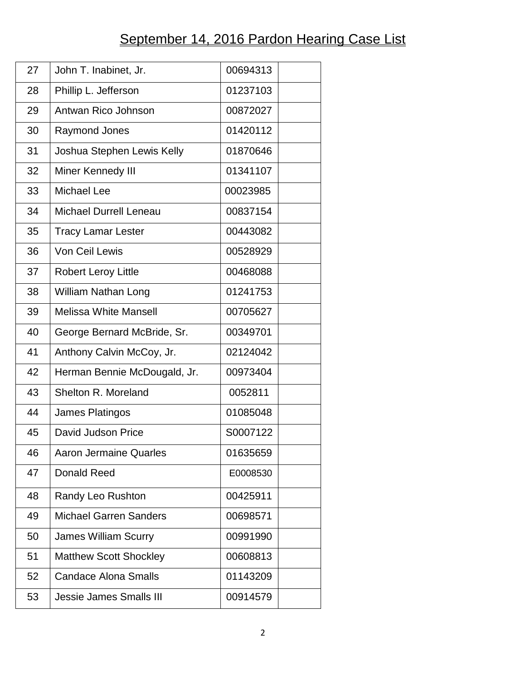## September 14, 2016 Pardon Hearing Case List

| 27 | John T. Inabinet, Jr.          | 00694313 |
|----|--------------------------------|----------|
| 28 | Phillip L. Jefferson           | 01237103 |
| 29 | Antwan Rico Johnson            | 00872027 |
| 30 | <b>Raymond Jones</b>           | 01420112 |
| 31 | Joshua Stephen Lewis Kelly     | 01870646 |
| 32 | Miner Kennedy III              | 01341107 |
| 33 | Michael Lee                    | 00023985 |
| 34 | <b>Michael Durrell Leneau</b>  | 00837154 |
| 35 | <b>Tracy Lamar Lester</b>      | 00443082 |
| 36 | Von Ceil Lewis                 | 00528929 |
| 37 | <b>Robert Leroy Little</b>     | 00468088 |
| 38 | <b>William Nathan Long</b>     | 01241753 |
| 39 | <b>Melissa White Mansell</b>   | 00705627 |
| 40 | George Bernard McBride, Sr.    | 00349701 |
| 41 | Anthony Calvin McCoy, Jr.      | 02124042 |
| 42 | Herman Bennie McDougald, Jr.   | 00973404 |
| 43 | Shelton R. Moreland            | 0052811  |
| 44 | <b>James Platingos</b>         | 01085048 |
| 45 | David Judson Price             | S0007122 |
| 46 | <b>Aaron Jermaine Quarles</b>  | 01635659 |
| 47 | Donald Reed                    | E0008530 |
| 48 | Randy Leo Rushton              | 00425911 |
| 49 | <b>Michael Garren Sanders</b>  | 00698571 |
| 50 | <b>James William Scurry</b>    | 00991990 |
| 51 | <b>Matthew Scott Shockley</b>  | 00608813 |
| 52 | <b>Candace Alona Smalls</b>    | 01143209 |
| 53 | <b>Jessie James Smalls III</b> | 00914579 |
|    |                                |          |